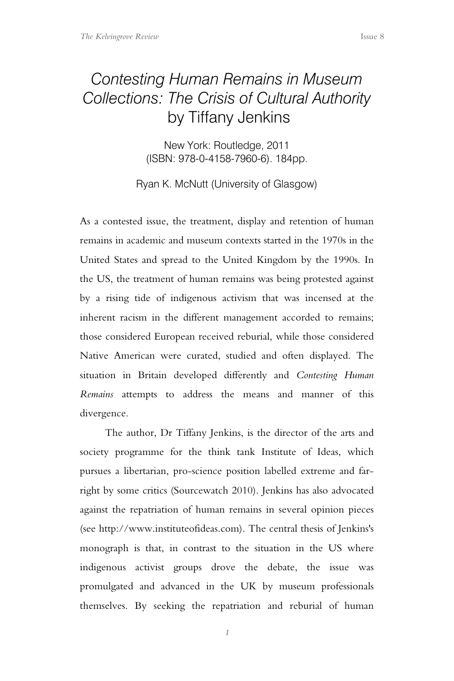## *Contesting Human Remains in Museum Collections: The Crisis of Cultural Authority* by Tiffany Jenkins

New York: Routledge, 2011 (ISBN: 978-0-4158-7960-6). 184pp.

Ryan K. McNutt (University of Glasgow)

As a contested issue, the treatment, display and retention of human remains in academic and museum contexts started in the 1970s in the United States and spread to the United Kingdom by the 1990s. In the US, the treatment of human remains was being protested against by a rising tide of indigenous activism that was incensed at the inherent racism in the different management accorded to remains; those considered European received reburial, while those considered Native American were curated, studied and often displayed. The situation in Britain developed differently and *Contesting Human Remains* attempts to address the means and manner of this divergence.

The author, Dr Tiffany Jenkins, is the director of the arts and society programme for the think tank Institute of Ideas, which pursues a libertarian, pro-science position labelled extreme and farright by some critics (Sourcewatch 2010). Jenkins has also advocated against the repatriation of human remains in several opinion pieces (see http://www.instituteofideas.com). The central thesis of Jenkins's monograph is that, in contrast to the situation in the US where indigenous activist groups drove the debate, the issue was promulgated and advanced in the UK by museum professionals themselves. By seeking the repatriation and reburial of human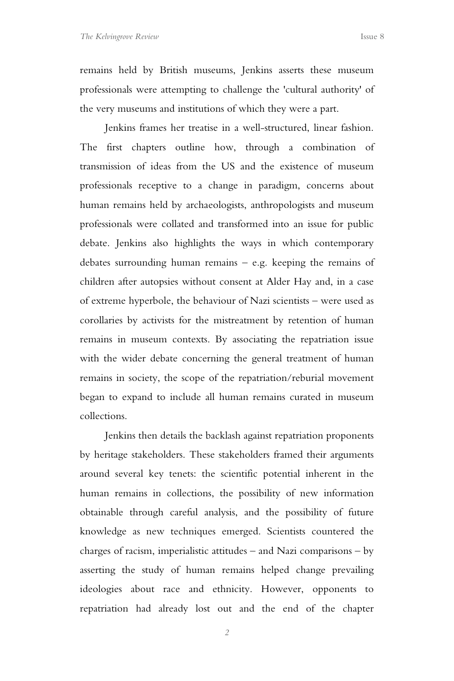remains held by British museums, Jenkins asserts these museum professionals were attempting to challenge the 'cultural authority' of the very museums and institutions of which they were a part.

Jenkins frames her treatise in a well-structured, linear fashion. The first chapters outline how, through a combination of transmission of ideas from the US and the existence of museum professionals receptive to a change in paradigm, concerns about human remains held by archaeologists, anthropologists and museum professionals were collated and transformed into an issue for public debate. Jenkins also highlights the ways in which contemporary debates surrounding human remains – e.g. keeping the remains of children after autopsies without consent at Alder Hay and, in a case of extreme hyperbole, the behaviour of Nazi scientists – were used as corollaries by activists for the mistreatment by retention of human remains in museum contexts. By associating the repatriation issue with the wider debate concerning the general treatment of human remains in society, the scope of the repatriation/reburial movement began to expand to include all human remains curated in museum collections.

Jenkins then details the backlash against repatriation proponents by heritage stakeholders. These stakeholders framed their arguments around several key tenets: the scientific potential inherent in the human remains in collections, the possibility of new information obtainable through careful analysis, and the possibility of future knowledge as new techniques emerged. Scientists countered the charges of racism, imperialistic attitudes – and Nazi comparisons – by asserting the study of human remains helped change prevailing ideologies about race and ethnicity. However, opponents to repatriation had already lost out and the end of the chapter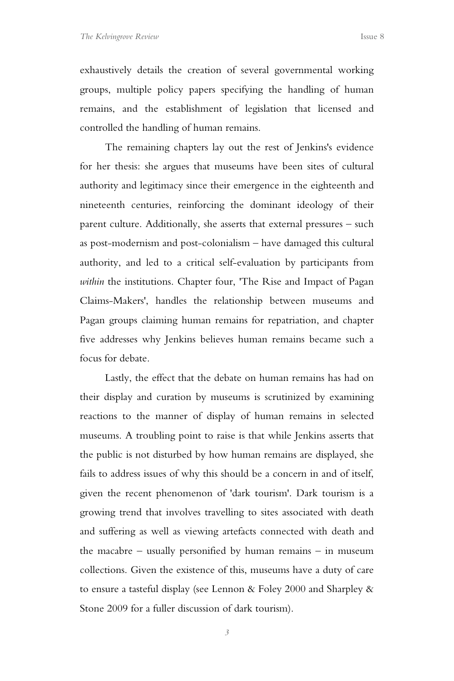exhaustively details the creation of several governmental working groups, multiple policy papers specifying the handling of human remains, and the establishment of legislation that licensed and controlled the handling of human remains.

The remaining chapters lay out the rest of Jenkins's evidence for her thesis: she argues that museums have been sites of cultural authority and legitimacy since their emergence in the eighteenth and nineteenth centuries, reinforcing the dominant ideology of their parent culture. Additionally, she asserts that external pressures – such as post-modernism and post-colonialism – have damaged this cultural authority, and led to a critical self-evaluation by participants from *within* the institutions. Chapter four, 'The Rise and Impact of Pagan Claims-Makers', handles the relationship between museums and Pagan groups claiming human remains for repatriation, and chapter five addresses why Jenkins believes human remains became such a focus for debate.

Lastly, the effect that the debate on human remains has had on their display and curation by museums is scrutinized by examining reactions to the manner of display of human remains in selected museums. A troubling point to raise is that while Jenkins asserts that the public is not disturbed by how human remains are displayed, she fails to address issues of why this should be a concern in and of itself, given the recent phenomenon of 'dark tourism'. Dark tourism is a growing trend that involves travelling to sites associated with death and suffering as well as viewing artefacts connected with death and the macabre – usually personified by human remains – in museum collections. Given the existence of this, museums have a duty of care to ensure a tasteful display (see Lennon & Foley 2000 and Sharpley & Stone 2009 for a fuller discussion of dark tourism).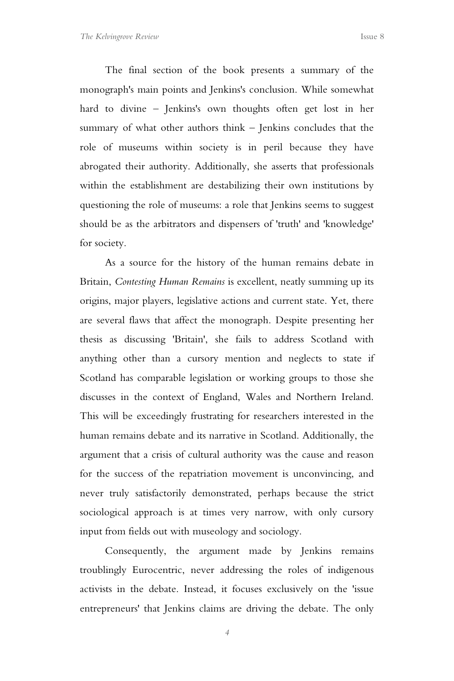The final section of the book presents a summary of the monograph's main points and Jenkins's conclusion. While somewhat hard to divine – Jenkins's own thoughts often get lost in her summary of what other authors think – Jenkins concludes that the role of museums within society is in peril because they have abrogated their authority. Additionally, she asserts that professionals within the establishment are destabilizing their own institutions by questioning the role of museums: a role that Jenkins seems to suggest should be as the arbitrators and dispensers of 'truth' and 'knowledge' for society.

As a source for the history of the human remains debate in Britain, *Contesting Human Remains* is excellent, neatly summing up its origins, major players, legislative actions and current state. Yet, there are several flaws that affect the monograph. Despite presenting her thesis as discussing 'Britain', she fails to address Scotland with anything other than a cursory mention and neglects to state if Scotland has comparable legislation or working groups to those she discusses in the context of England, Wales and Northern Ireland. This will be exceedingly frustrating for researchers interested in the human remains debate and its narrative in Scotland. Additionally, the argument that a crisis of cultural authority was the cause and reason for the success of the repatriation movement is unconvincing, and never truly satisfactorily demonstrated, perhaps because the strict sociological approach is at times very narrow, with only cursory input from fields out with museology and sociology.

Consequently, the argument made by Jenkins remains troublingly Eurocentric, never addressing the roles of indigenous activists in the debate. Instead, it focuses exclusively on the 'issue entrepreneurs' that Jenkins claims are driving the debate. The only

*4*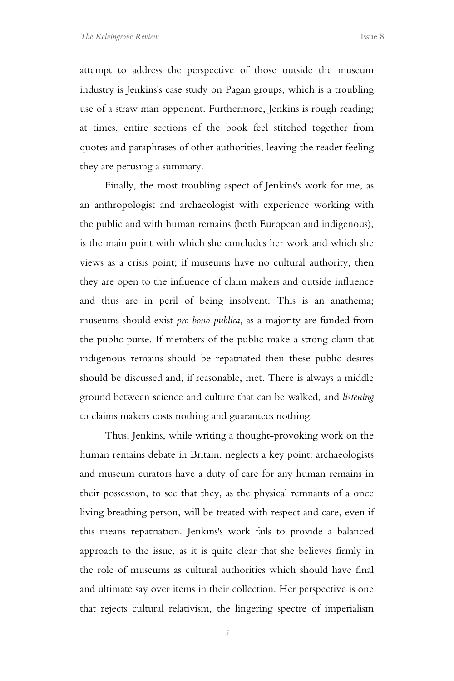attempt to address the perspective of those outside the museum industry is Jenkins's case study on Pagan groups, which is a troubling use of a straw man opponent. Furthermore, Jenkins is rough reading; at times, entire sections of the book feel stitched together from quotes and paraphrases of other authorities, leaving the reader feeling they are perusing a summary.

Finally, the most troubling aspect of Jenkins's work for me, as an anthropologist and archaeologist with experience working with the public and with human remains (both European and indigenous), is the main point with which she concludes her work and which she views as a crisis point; if museums have no cultural authority, then they are open to the influence of claim makers and outside influence and thus are in peril of being insolvent. This is an anathema; museums should exist *pro bono publica*, as a majority are funded from the public purse. If members of the public make a strong claim that indigenous remains should be repatriated then these public desires should be discussed and, if reasonable, met. There is always a middle ground between science and culture that can be walked, and *listening* to claims makers costs nothing and guarantees nothing.

Thus, Jenkins, while writing a thought-provoking work on the human remains debate in Britain, neglects a key point: archaeologists and museum curators have a duty of care for any human remains in their possession, to see that they, as the physical remnants of a once living breathing person, will be treated with respect and care, even if this means repatriation. Jenkins's work fails to provide a balanced approach to the issue, as it is quite clear that she believes firmly in the role of museums as cultural authorities which should have final and ultimate say over items in their collection. Her perspective is one that rejects cultural relativism, the lingering spectre of imperialism